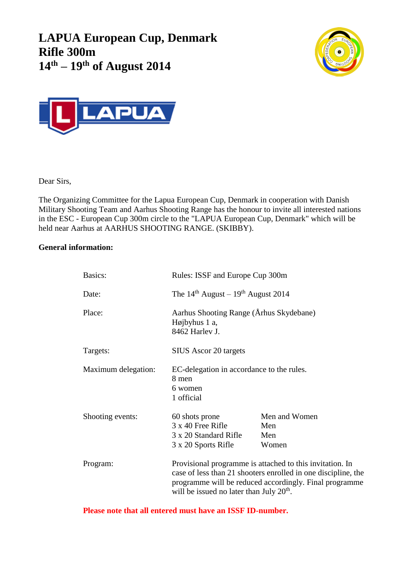**LAPUA European Cup, Denmark Rifle 300m 14 th – 19 th of August 2014**





Dear Sirs,

The Organizing Committee for the Lapua European Cup, Denmark in cooperation with Danish Military Shooting Team and Aarhus Shooting Range has the honour to invite all interested nations in the ESC - European Cup 300m circle to the "LAPUA European Cup, Denmark" which will be held near Aarhus at AARHUS SHOOTING RANGE. (SKIBBY).

## **General information:**

| Basics:             | Rules: ISSF and Europe Cup 300m                                                                                                                                                                                                   |                                      |  |
|---------------------|-----------------------------------------------------------------------------------------------------------------------------------------------------------------------------------------------------------------------------------|--------------------------------------|--|
| Date:               | The $14th$ August – $19th$ August 2014                                                                                                                                                                                            |                                      |  |
| Place:              | Aarhus Shooting Range (Århus Skydebane)<br>Højbyhus 1 a,<br>8462 Harley J.                                                                                                                                                        |                                      |  |
| Targets:            | SIUS Ascor 20 targets                                                                                                                                                                                                             |                                      |  |
| Maximum delegation: | EC-delegation in accordance to the rules.<br>8 men<br>6 women<br>1 official                                                                                                                                                       |                                      |  |
| Shooting events:    | 60 shots prone<br>3 x 40 Free Rifle<br>3 x 20 Standard Rifle<br>3 x 20 Sports Rifle                                                                                                                                               | Men and Women<br>Men<br>Men<br>Women |  |
| Program:            | Provisional programme is attached to this invitation. In<br>case of less than 21 shooters enrolled in one discipline, the<br>programme will be reduced accordingly. Final programme<br>will be issued no later than July $20th$ . |                                      |  |

**Please note that all entered must have an ISSF ID-number.**